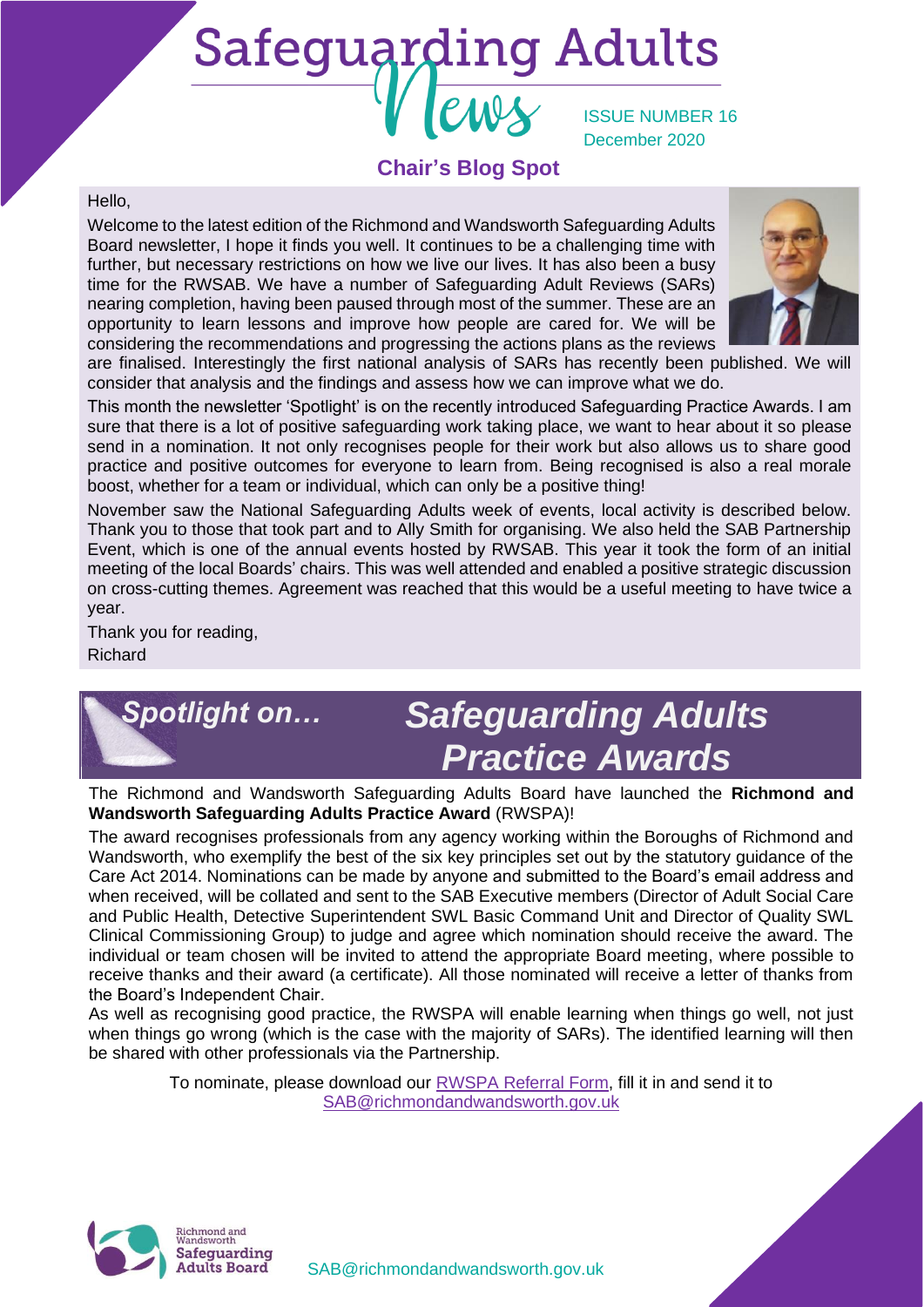# **Safeguarding Adults**

ISSUE NUMBER 16 December 2020

## **Chair's Blog Spot**

#### Hello,

Welcome to the latest edition of the Richmond and Wandsworth Safeguarding Adults Board newsletter, I hope it finds you well. It continues to be a challenging time with further, but necessary restrictions on how we live our lives. It has also been a busy time for the RWSAB. We have a number of Safeguarding Adult Reviews (SARs) nearing completion, having been paused through most of the summer. These are an opportunity to learn lessons and improve how people are cared for. We will be considering the recommendations and progressing the actions plans as the reviews



are finalised. Interestingly the first national analysis of SARs has recently been published. We will consider that analysis and the findings and assess how we can improve what we do.

This month the newsletter 'Spotlight' is on the recently introduced Safeguarding Practice Awards. I am sure that there is a lot of positive safeguarding work taking place, we want to hear about it so please send in a nomination. It not only recognises people for their work but also allows us to share good practice and positive outcomes for everyone to learn from. Being recognised is also a real morale boost, whether for a team or individual, which can only be a positive thing!

November saw the National Safeguarding Adults week of events, local activity is described below. Thank you to those that took part and to Ally Smith for organising. We also held the SAB Partnership Event, which is one of the annual events hosted by RWSAB. This year it took the form of an initial meeting of the local Boards' chairs. This was well attended and enabled a positive strategic discussion on cross-cutting themes. Agreement was reached that this would be a useful meeting to have twice a year.

Thank you for reading, Richard

# *Safeguarding Adults Practice Awards Spotlight on…*

The Richmond and Wandsworth Safeguarding Adults Board have launched the **Richmond and Wandsworth Safeguarding Adults Practice Award** (RWSPA)!

The award recognises professionals from any agency working within the Boroughs of Richmond and Wandsworth, who exemplify the best of the six key principles set out by the statutory guidance of the Care Act 2014. Nominations can be made by anyone and submitted to the Board's email address and when received, will be collated and sent to the SAB Executive members (Director of Adult Social Care and Public Health, Detective Superintendent SWL Basic Command Unit and Director of Quality SWL Clinical Commissioning Group) to judge and agree which nomination should receive the award. The individual or team chosen will be invited to attend the appropriate Board meeting, where possible to receive thanks and their award (a certificate). All those nominated will receive a letter of thanks from the Board's Independent Chair.

As well as recognising good practice, the RWSPA will enable learning when things go well, not just when things go wrong (which is the case with the majority of SARs). The identified learning will then be shared with other professionals via the Partnership.

> To nominate, please download our [RWSPA Referral Form,](https://www.richmond.gov.uk/media/20101/rwspa_referral_form.docx) fill it in and send it to [SAB@richmondandwandsworth.gov.uk](mailto:SAB@richmondandwandsworth.gov.uk)



[SAB@richmondandwandsworth.gov.uk](mailto:SAB@richmondandwandsworth.gov.uk)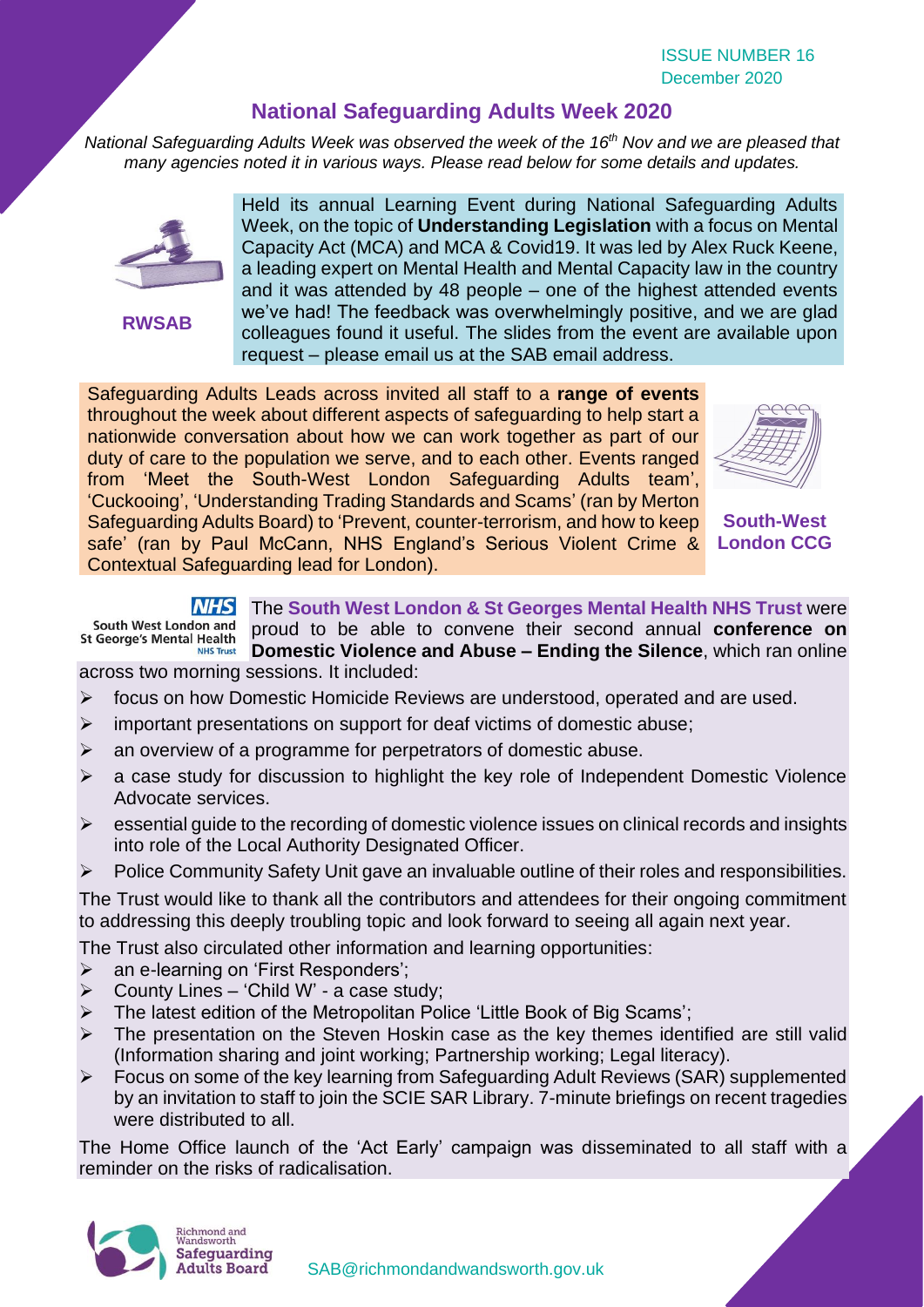# **National Safeguarding Adults Week 2020**

*National Safeguarding Adults Week was observed the week of the 16th Nov and we are pleased that many agencies noted it in various ways. Please read below for some details and updates.*



**RWSAB**

Held its annual Learning Event during National Safeguarding Adults Week, on the topic of **Understanding Legislation** with a focus on Mental Capacity Act (MCA) and MCA & Covid19. It was led by Alex Ruck Keene, a leading expert on Mental Health and Mental Capacity law in the country and it was attended by 48 people – one of the highest attended events we've had! The feedback was overwhelmingly positive, and we are glad colleagues found it useful. The slides from the event are available upon request – please email us at the SAB email address.

Safeguarding Adults Leads across invited all staff to a **range of events** throughout the week about different aspects of safeguarding to help start a nationwide conversation about how we can work together as part of our duty of care to the population we serve, and to each other. Events ranged from 'Meet the South-West London Safeguarding Adults team', 'Cuckooing', 'Understanding Trading Standards and Scams' (ran by Merton Safeguarding Adults Board) to 'Prevent, counter-terrorism, and how to keep safe' (ran by Paul McCann, NHS England's Serious Violent Crime & Contextual Safeguarding lead for London).



**South-West London CCG**

#### The **South West London & St Georges Mental Health NHS Trust** were

South West London and proud to be able to convene their second annual **conference on St George's Mental Health Domestic Violence and Abuse – Ending the Silence**, which ran online **NHS Trust** across two morning sessions. It included:

- focus on how Domestic Homicide Reviews are understood, operated and are used.
- $\triangleright$  important presentations on support for deaf victims of domestic abuse;
- ➢ an overview of a programme for perpetrators of domestic abuse.
- a case study for discussion to highlight the key role of Independent Domestic Violence Advocate services.
- $\triangleright$  essential guide to the recording of domestic violence issues on clinical records and insights into role of the Local Authority Designated Officer.
- Police Community Safety Unit gave an invaluable outline of their roles and responsibilities.

The Trust would like to thank all the contributors and attendees for their ongoing commitment to addressing this deeply troubling topic and look forward to seeing all again next year.

The Trust also circulated other information and learning opportunities:

- ➢ an e-learning on 'First Responders';
- $\triangleright$  County Lines 'Child W' a case study;
- The latest edition of the Metropolitan Police 'Little Book of Big Scams';
- ➢ The presentation on the Steven Hoskin case as the key themes identified are still valid (Information sharing and joint working; Partnership working; Legal literacy).
- ➢ Focus on some of the key learning from Safeguarding Adult Reviews (SAR) supplemented by an invitation to staff to join the SCIE SAR Library. 7-minute briefings on recent tragedies were distributed to all.

The Home Office launch of the 'Act Early' campaign was disseminated to all staff with a reminder on the risks of radicalisation.

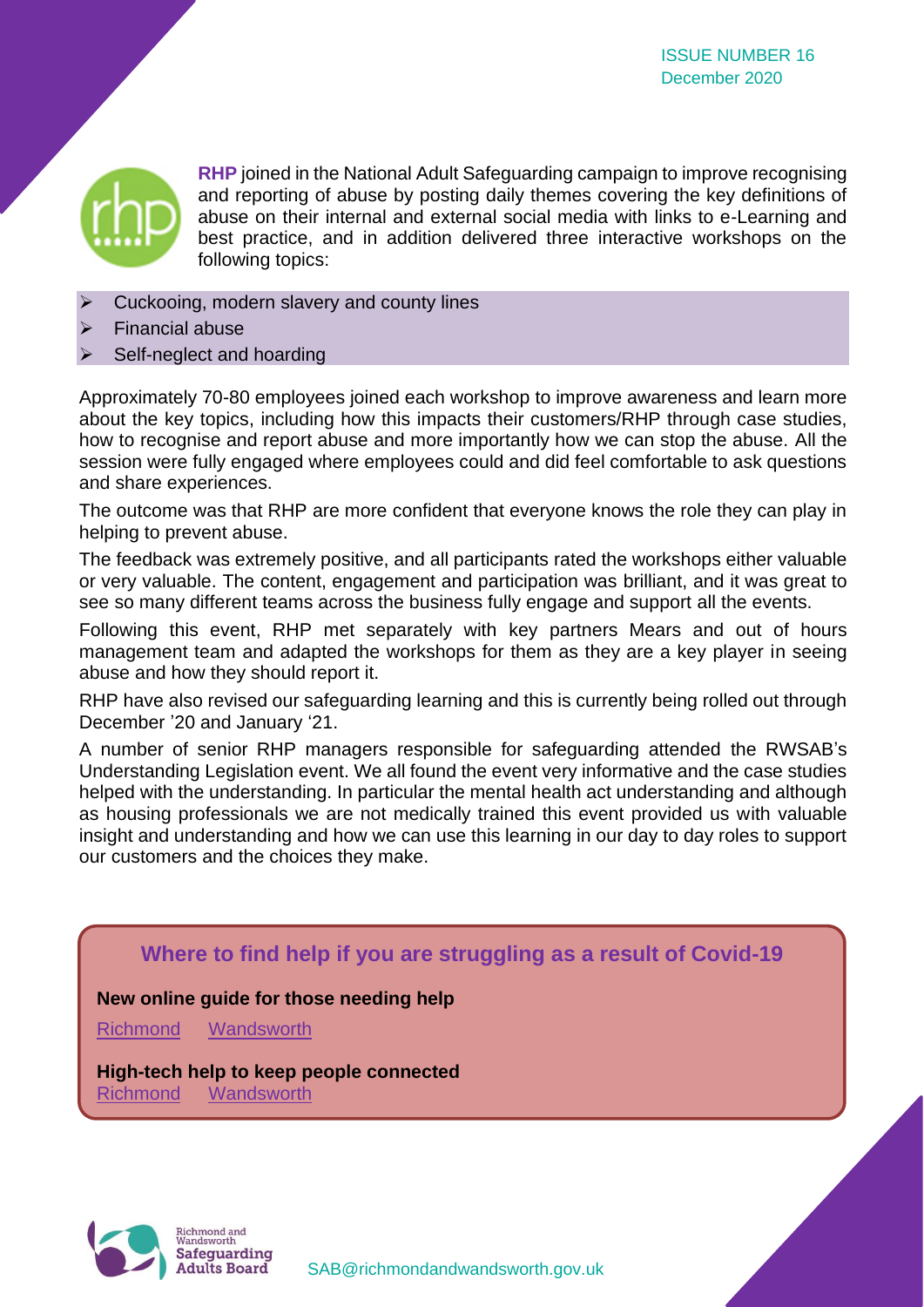

**RHP** joined in the National Adult Safeguarding campaign to improve recognising and reporting of abuse by posting daily themes covering the key definitions of abuse on their internal and external social media with links to e-Learning and best practice, and in addition delivered three interactive workshops on the following topics:

- ➢ Cuckooing, modern slavery and county lines
- ➢ Financial abuse
- Self-neglect and hoarding

Approximately 70-80 employees joined each workshop to improve awareness and learn more about the key topics, including how this impacts their customers/RHP through case studies, how to recognise and report abuse and more importantly how we can stop the abuse. All the session were fully engaged where employees could and did feel comfortable to ask questions and share experiences.

The outcome was that RHP are more confident that everyone knows the role they can play in helping to prevent abuse.

The feedback was extremely positive, and all participants rated the workshops either valuable or very valuable. The content, engagement and participation was brilliant, and it was great to see so many different teams across the business fully engage and support all the events.

Following this event, RHP met separately with key partners Mears and out of hours management team and adapted the workshops for them as they are a key player in seeing abuse and how they should report it.

RHP have also revised our safeguarding learning and this is currently being rolled out through December '20 and January '21.

A number of senior RHP managers responsible for safeguarding attended the RWSAB's Understanding Legislation event. We all found the event very informative and the case studies helped with the understanding. In particular the mental health act understanding and although as housing professionals we are not medically trained this event provided us with valuable insight and understanding and how we can use this learning in our day to day roles to support our customers and the choices they make.

## **Where to find help if you are struggling as a result of Covid-19**

#### **New online guide for those needing help**

[Richmond](https://www.richmond.gov.uk/i_need_help) [Wandsworth](https://www.wandsworth.gov.uk/health-and-social-care/public-health/coronavirus/where-can-i-find-help-or-support/)

**High-tech help to keep people connected** [Richmond](https://www.richmond.gov.uk/council/news/press_office/older_news/press_releases_november_2020/care_technology_helping_vulnerable_residents) [Wandsworth](https://www.wandsworth.gov.uk/news/news-nov-2020/high-tech-help-to-keep-people-connected/)

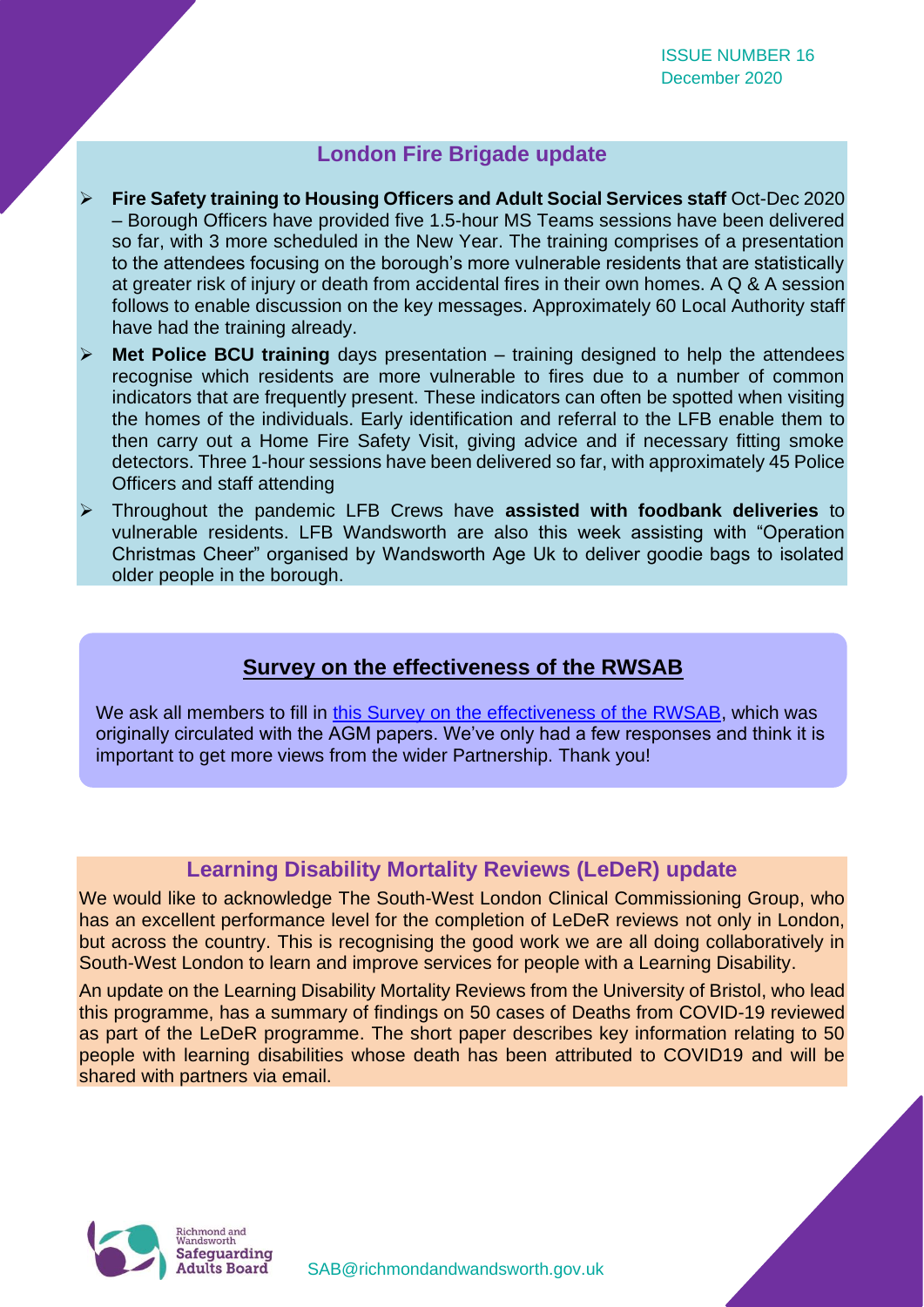#### **London Fire Brigade update**

- ➢ **Fire Safety training to Housing Officers and Adult Social Services staff** Oct-Dec 2020 – Borough Officers have provided five 1.5-hour MS Teams sessions have been delivered so far, with 3 more scheduled in the New Year. The training comprises of a presentation to the attendees focusing on the borough's more vulnerable residents that are statistically at greater risk of injury or death from accidental fires in their own homes. A Q & A session follows to enable discussion on the key messages. Approximately 60 Local Authority staff have had the training already.
- **Met Police BCU training** days presentation training designed to help the attendees recognise which residents are more vulnerable to fires due to a number of common indicators that are frequently present. These indicators can often be spotted when visiting the homes of the individuals. Early identification and referral to the LFB enable them to then carry out a Home Fire Safety Visit, giving advice and if necessary fitting smoke detectors. Three 1-hour sessions have been delivered so far, with approximately 45 Police Officers and staff attending
- ➢ Throughout the pandemic LFB Crews have **assisted with foodbank deliveries** to vulnerable residents. LFB Wandsworth are also this week assisting with "Operation Christmas Cheer" organised by Wandsworth Age Uk to deliver goodie bags to isolated older people in the borough.

# **Survey on the effectiveness of the RWSAB**

We ask all members to fill in [this Survey on the effectiveness of the RWSAB,](https://www.smartsurvey.co.uk/s/IMON3F/) which was originally circulated with the AGM papers. We've only had a few responses and think it is important to get more views from the wider Partnership. Thank you!

#### **Learning Disability Mortality Reviews (LeDeR) update**

We would like to acknowledge The South-West London Clinical Commissioning Group, who has an excellent performance level for the completion of LeDeR reviews not only in London, but across the country. This is recognising the good work we are all doing collaboratively in South-West London to learn and improve services for people with a Learning Disability.

An update on the Learning Disability Mortality Reviews from the University of Bristol, who lead this programme, has a summary of findings on 50 cases of Deaths from COVID-19 reviewed as part of the LeDeR programme. The short paper describes key information relating to 50 people with learning disabilities whose death has been attributed to COVID19 and will be shared with partners via email.